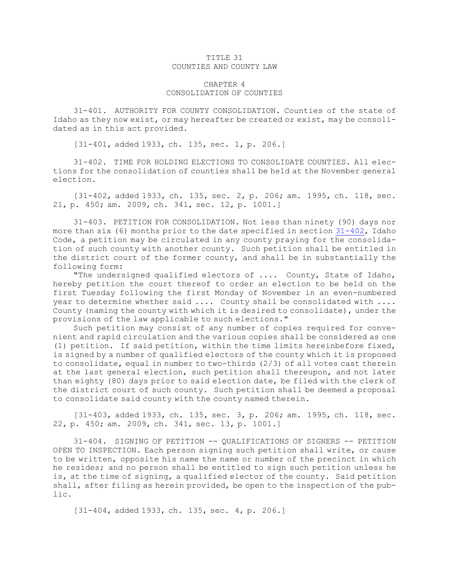## TITLE 31 COUNTIES AND COUNTY LAW

## CHAPTER 4 CONSOLIDATION OF COUNTIES

31-401. AUTHORITY FOR COUNTY CONSOLIDATION. Counties of the state of Idaho as they now exist, or may hereafter be created or exist, may be consolidated as in this act provided.

[31-401, added 1933, ch. 135, sec. 1, p. 206.]

31-402. TIME FOR HOLDING ELECTIONS TO CONSOLIDATE COUNTIES. All elections for the consolidation of counties shall be held at the November general election.

[31-402, added 1933, ch. 135, sec. 2, p. 206; am. 1995, ch. 118, sec. 21, p. 450; am. 2009, ch. 341, sec. 12, p. 1001.]

31-403. PETITION FOR CONSOLIDATION. Not less than ninety (90) days nor more than six (6) months prior to the date specified in section [31-402](https://legislature.idaho.gov/statutesrules/idstat/Title31/T31CH4/SECT31-402), Idaho Code, <sup>a</sup> petition may be circulated in any county praying for the consolidation of such county with another county. Such petition shall be entitled in the district court of the former county, and shall be in substantially the following form:

"The undersigned qualified electors of .... County, State of Idaho, hereby petition the court thereof to order an election to be held on the first Tuesday following the first Monday of November in an even-numbered year to determine whether said .... County shall be consolidated with .... County (naming the county with which it is desired to consolidate), under the provisions of the law applicable to such elections."

Such petition may consist of any number of copies required for convenient and rapid circulation and the various copies shall be considered as one (1) petition. If said petition, within the time limits hereinbefore fixed, is signed by <sup>a</sup> number of qualified electors of the county which it is proposed to consolidate, equal in number to two-thirds (2/3) of all votes cast therein at the last general election, such petition shall thereupon, and not later than eighty (80) days prior to said election date, be filed with the clerk of the district court of such county. Such petition shall be deemed <sup>a</sup> proposal to consolidate said county with the county named therein.

[31-403, added 1933, ch. 135, sec. 3, p. 206; am. 1995, ch. 118, sec. 22, p. 450; am. 2009, ch. 341, sec. 13, p. 1001.]

31-404. SIGNING OF PETITION -- QUALIFICATIONS OF SIGNERS -- PETITION OPEN TO INSPECTION. Each person signing such petition shall write, or cause to be written, opposite his name the name or number of the precinct in which he resides; and no person shall be entitled to sign such petition unless he is, at the time of signing, <sup>a</sup> qualified elector of the county. Said petition shall, after filing as herein provided, be open to the inspection of the public.

[31-404, added 1933, ch. 135, sec. 4, p. 206.]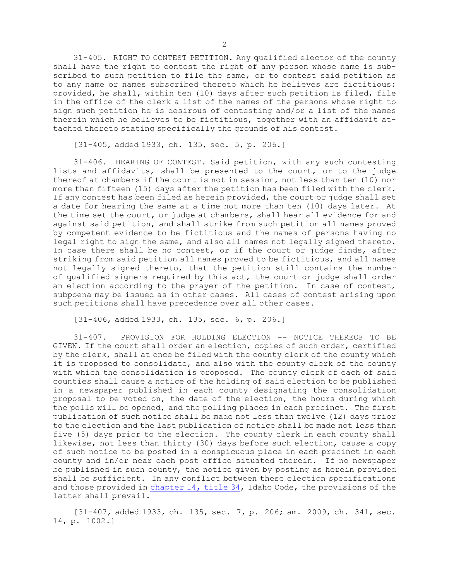31-405. RIGHT TO CONTEST PETITION. Any qualified elector of the county shall have the right to contest the right of any person whose name is subscribed to such petition to file the same, or to contest said petition as to any name or names subscribed thereto which he believes are fictitious: provided, he shall, within ten (10) days after such petition is filed, file in the office of the clerk <sup>a</sup> list of the names of the persons whose right to sign such petition he is desirous of contesting and/or <sup>a</sup> list of the names therein which he believes to be fictitious, together with an affidavit attached thereto stating specifically the grounds of his contest.

[31-405, added 1933, ch. 135, sec. 5, p. 206.]

31-406. HEARING OF CONTEST. Said petition, with any such contesting lists and affidavits, shall be presented to the court, or to the judge thereof at chambers if the court is not in session, not less than ten (10) nor more than fifteen (15) days after the petition has been filed with the clerk. If any contest has been filed as herein provided, the court or judge shall set <sup>a</sup> date for hearing the same at <sup>a</sup> time not more than ten (10) days later. At the time set the court, or judge at chambers, shall hear all evidence for and against said petition, and shall strike from such petition all names proved by competent evidence to be fictitious and the names of persons having no legal right to sign the same, and also all names not legally signed thereto. In case there shall be no contest, or if the court or judge finds, after striking from said petition all names proved to be fictitious, and all names not legally signed thereto, that the petition still contains the number of qualified signers required by this act, the court or judge shall order an election according to the prayer of the petition. In case of contest, subpoena may be issued as in other cases. All cases of contest arising upon such petitions shall have precedence over all other cases.

[31-406, added 1933, ch. 135, sec. 6, p. 206.]

31-407. PROVISION FOR HOLDING ELECTION -- NOTICE THEREOF TO BE GIVEN. If the court shall order an election, copies of such order, certified by the clerk, shall at once be filed with the county clerk of the county which it is proposed to consolidate, and also with the county clerk of the county with which the consolidation is proposed. The county clerk of each of said counties shall cause <sup>a</sup> notice of the holding of said election to be published in <sup>a</sup> newspaper published in each county designating the consolidation proposal to be voted on, the date of the election, the hours during which the polls will be opened, and the polling places in each precinct. The first publication of such notice shall be made not less than twelve (12) days prior to the election and the last publication of notice shall be made not less than five (5) days prior to the election. The county clerk in each county shall likewise, not less than thirty (30) days before such election, cause <sup>a</sup> copy of such notice to be posted in <sup>a</sup> conspicuous place in each precinct in each county and in/or near each post office situated therein. If no newspaper be published in such county, the notice given by posting as herein provided shall be sufficient. In any conflict between these election specifications and those provided in [chapter](https://legislature.idaho.gov/statutesrules/idstat/Title34/T34CH14) 14, title 34, Idaho Code, the provisions of the latter shall prevail.

[31-407, added 1933, ch. 135, sec. 7, p. 206; am. 2009, ch. 341, sec. 14, p. 1002.]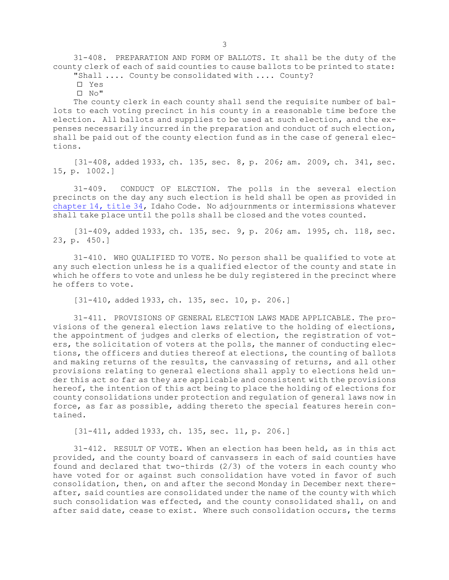31-408. PREPARATION AND FORM OF BALLOTS. It shall be the duty of the county clerk of each of said counties to cause ballots to be printed to state:

"Shall .... County be consolidated with .... County?

□ Yes

□ No"

The county clerk in each county shall send the requisite number of ballots to each voting precinct in his county in <sup>a</sup> reasonable time before the election. All ballots and supplies to be used at such election, and the expenses necessarily incurred in the preparation and conduct of such election, shall be paid out of the county election fund as in the case of general elections.

[31-408, added 1933, ch. 135, sec. 8, p. 206; am. 2009, ch. 341, sec. 15, p. 1002.]

31-409. CONDUCT OF ELECTION. The polls in the several election precincts on the day any such election is held shall be open as provided in [chapter](https://legislature.idaho.gov/statutesrules/idstat/Title34/T34CH14) 14, title 34, Idaho Code. No adjournments or intermissions whatever shall take place until the polls shall be closed and the votes counted.

[31-409, added 1933, ch. 135, sec. 9, p. 206; am. 1995, ch. 118, sec. 23, p. 450.]

31-410. WHO QUALIFIED TO VOTE. No person shall be qualified to vote at any such election unless he is <sup>a</sup> qualified elector of the county and state in which he offers to vote and unless he be duly registered in the precinct where he offers to vote.

[31-410, added 1933, ch. 135, sec. 10, p. 206.]

31-411. PROVISIONS OF GENERAL ELECTION LAWS MADE APPLICABLE. The provisions of the general election laws relative to the holding of elections, the appointment of judges and clerks of election, the registration of voters, the solicitation of voters at the polls, the manner of conducting elections, the officers and duties thereof at elections, the counting of ballots and making returns of the results, the canvassing of returns, and all other provisions relating to general elections shall apply to elections held under this act so far as they are applicable and consistent with the provisions hereof, the intention of this act being to place the holding of elections for county consolidations under protection and regulation of general laws now in force, as far as possible, adding thereto the special features herein contained.

[31-411, added 1933, ch. 135, sec. 11, p. 206.]

31-412. RESULT OF VOTE. When an election has been held, as in this act provided, and the county board of canvassers in each of said counties have found and declared that two-thirds (2/3) of the voters in each county who have voted for or against such consolidation have voted in favor of such consolidation, then, on and after the second Monday in December next thereafter, said counties are consolidated under the name of the county with which such consolidation was effected, and the county consolidated shall, on and after said date, cease to exist. Where such consolidation occurs, the terms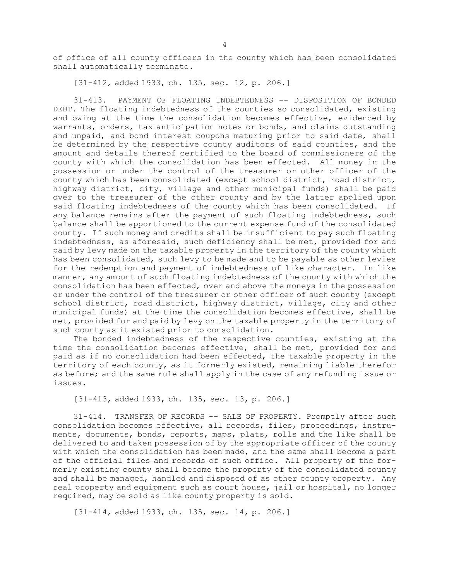4

of office of all county officers in the county which has been consolidated shall automatically terminate.

[31-412, added 1933, ch. 135, sec. 12, p. 206.]

31-413. PAYMENT OF FLOATING INDEBTEDNESS -- DISPOSITION OF BONDED DEBT. The floating indebtedness of the counties so consolidated, existing and owing at the time the consolidation becomes effective, evidenced by warrants, orders, tax anticipation notes or bonds, and claims outstanding and unpaid, and bond interest coupons maturing prior to said date, shall be determined by the respective county auditors of said counties, and the amount and details thereof certified to the board of commissioners of the county with which the consolidation has been effected. All money in the possession or under the control of the treasurer or other officer of the county which has been consolidated (except school district, road district, highway district, city, village and other municipal funds) shall be paid over to the treasurer of the other county and by the latter applied upon said floating indebtedness of the county which has been consolidated. If any balance remains after the payment of such floating indebtedness, such balance shall be apportioned to the current expense fund of the consolidated county. If such money and credits shall be insufficient to pay such floating indebtedness, as aforesaid, such deficiency shall be met, provided for and paid by levy made on the taxable property in the territory of the county which has been consolidated, such levy to be made and to be payable as other levies for the redemption and payment of indebtedness of like character. In like manner, any amount of such floating indebtedness of the county with which the consolidation has been effected, over and above the moneys in the possession or under the control of the treasurer or other officer of such county (except school district, road district, highway district, village, city and other municipal funds) at the time the consolidation becomes effective, shall be met, provided for and paid by levy on the taxable property in the territory of such county as it existed prior to consolidation.

The bonded indebtedness of the respective counties, existing at the time the consolidation becomes effective, shall be met, provided for and paid as if no consolidation had been effected, the taxable property in the territory of each county, as it formerly existed, remaining liable therefor as before; and the same rule shall apply in the case of any refunding issue or issues.

[31-413, added 1933, ch. 135, sec. 13, p. 206.]

31-414. TRANSFER OF RECORDS -- SALE OF PROPERTY. Promptly after such consolidation becomes effective, all records, files, proceedings, instruments, documents, bonds, reports, maps, plats, rolls and the like shall be delivered to and taken possession of by the appropriate officer of the county with which the consolidation has been made, and the same shall become <sup>a</sup> part of the official files and records of such office. All property of the formerly existing county shall become the property of the consolidated county and shall be managed, handled and disposed of as other county property. Any real property and equipment such as court house, jail or hospital, no longer required, may be sold as like county property is sold.

[31-414, added 1933, ch. 135, sec. 14, p. 206.]